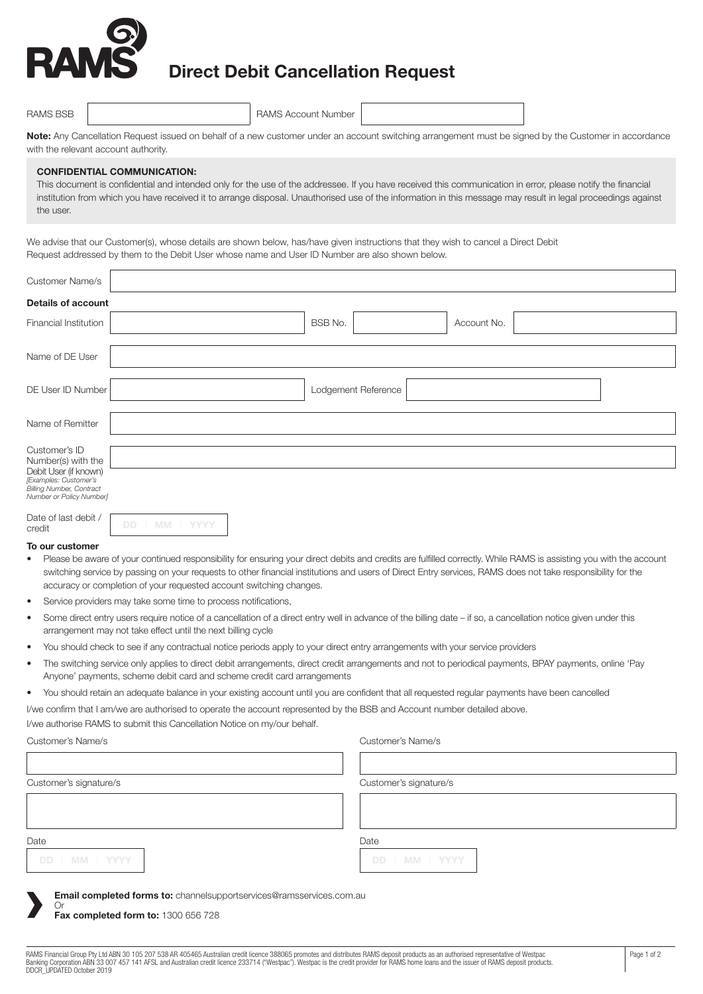

## **Direct Debit Cancellation Request**

| <b>RAMS BSB</b> |  | <b>RAMS Account Number</b> |  |  |
|-----------------|--|----------------------------|--|--|
|-----------------|--|----------------------------|--|--|

**Note:** Any Cancellation Request issued on behalf of a new customer under an account switching arrangement must be signed by the Customer in accordance with the relevant account authority.

#### **CONFIDENTIAL COMMUNICATION:**

This document is confidential and intended only for the use of the addressee. If you have received this communication in error, please notify the financial institution from which you have received it to arrange disposal. Unauthorised use of the information in this message may result in legal proceedings against the user.

We advise that our Customer(s), whose details are shown below, has/have given instructions that they wish to cancel a Direct Debit Request addressed by them to the Debit User whose name and User ID Number are also shown below.

| <b>Customer Name/s</b>                                                                                                                               |                               |
|------------------------------------------------------------------------------------------------------------------------------------------------------|-------------------------------|
| <b>Details of account</b>                                                                                                                            |                               |
| Financial Institution                                                                                                                                | <b>BSB No.</b><br>Account No. |
| Name of DE User                                                                                                                                      |                               |
| DE User ID Number                                                                                                                                    | Lodgement Reference           |
| Name of Remitter                                                                                                                                     |                               |
| Customer's ID<br>Number(s) with the<br>Debit User (if known)<br>[Examples: Customer's<br><b>Billing Number, Contract</b><br>Number or Policy Number] |                               |

| Date of last debit / |  |  |
|----------------------|--|--|
| cradit               |  |  |

#### **To our customer**

- Please be aware of your continued responsibility for ensuring your direct debits and credits are fulfilled correctly. While RAMS is assisting you with the account switching service by passing on your requests to other financial institutions and users of Direct Entry services, RAMS does not take responsibility for the accuracy or completion of your requested account switching changes.
- Service providers may take some time to process notifications,
- Some direct entry users require notice of a cancellation of a direct entry well in advance of the billing date if so, a cancellation notice given under this arrangement may not take effect until the next billing cycle
- You should check to see if any contractual notice periods apply to your direct entry arrangements with your service providers
- The switching service only applies to direct debit arrangements, direct credit arrangements and not to periodical payments, BPAY payments, online 'Pay Anyone' payments, scheme debit card and scheme credit card arrangements
- You should retain an adequate balance in your existing account until you are confident that all requested regular payments have been cancelled

I/we confirm that I am/we are authorised to operate the account represented by the BSB and Account number detailed above.

I/we authorise RAMS to submit this Cancellation Notice on my/our behalf.

#### Customer's Name/s Customer's Name/s

| Customer's signature/s                                                     | Customer's signature/s |
|----------------------------------------------------------------------------|------------------------|
|                                                                            |                        |
| Date<br>DD   MM   YYYY                                                     | Date<br>DD   MM   YYYY |
| Email completed forms to: channelsupportservices@ramsservices.com.au<br>Or |                        |

**Fax completed form to:** 1300 656 728